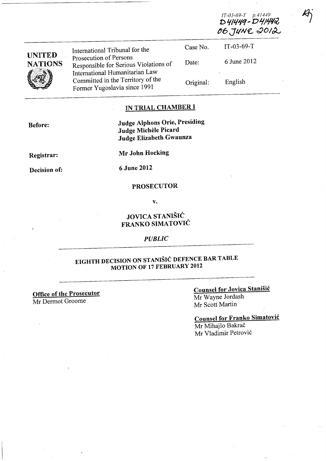| <b>UNITED</b><br><b>NATIONS</b> | International Tribunal for the                                                                                                                                         | Case No.  | $IT-03-69-T$ |  |
|---------------------------------|------------------------------------------------------------------------------------------------------------------------------------------------------------------------|-----------|--------------|--|
|                                 | Prosecution of Persons<br>Responsible for Serious Violations of<br>International Humanitarian Law<br>Committed in the Territory of the<br>Former Yugoslavia since 1991 | Date:     | 6 June 2012  |  |
|                                 |                                                                                                                                                                        | Original: | English      |  |

# IN TRIAL CHAMBER I

Before:

Judge Alphons Orie, Presiding Judge Michele Picard Judge Elizabeth Gwaunza

Registrar:

Mr John Hocking

Decision of:

6 June 2012

#### PROSECUTOR

v.

#### JOVICA STANIŠIĆ FRANKO SIMATOVIĆ

*PUBLIC* 

# EIGHTH DECISION ON STANIŠIĆ DEFENCE BAR TABLE MOTION OF 17 FEBRUARY 2012

Office of the Prosecutor Mr Dermot Groome

Counsel for Jovica Stanišić Mr Wayne Jordash Mr Scott Martin

Counsel for Franko Simatović Mr Mihajlo Bakrač Mr Vladimir Petrović

*lT-03-69-T p.41449* D41449-D41442 06 JUNE 2012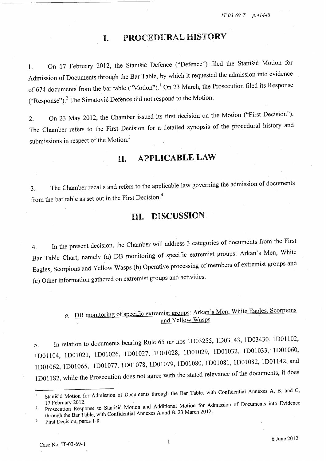# **I.** PROCEDURAL HISTORY

l. On <sup>17</sup>February 2012, the Stanišić Defence ("Defence") filed the Stanišić Motion for Admission of Documents through the Bar Table, by which it requested the admission into evidence of 674 documents from the bar table ("Motion").<sup>1</sup> On 23 March, the Prosecution filed its Response ("Response").<sup>2</sup> The Simatović Defence did not respond to the Motion.

2. On <sup>23</sup>May 2012, the Chamber issued its first decision on the Motion ("First Decision"). The Chamber refers to the First Decision for a detailed synopsis of the procedural history and submissions in respect of the Motion.<sup>3</sup>

# **II.** APPLICABLE LAW

3. The Chamber recalls and refers to the applicable law governing the admission of documents from the bar table as set out in the First Decision.<sup>4</sup>

### III. DISCUSSION

4. In the present decision, the Chamber will address 3 categories of documents from the First Bar Table Chart, namely (a) DB monitoring of specific extremist groups: Arkan's Men, White Eagles, Scorpions and Yellow Wasps (b) Operative processing of members of extremist groups an<sup>d</sup> (c) Other information gathered on extremist groups and activities.

# *a.* DB monitoring of specific extremist groups: Arkan's Men, White Eagles, Scorpions and Yellow Wasps

5. In relation to documents bearing Rule 65 *ter* nos 1D03255, 1D03143, 1D03430, 1DOll02, 1D01104, 1D0102l, lDOl026, lDOl027, lDOl028, lDOl029, lDOl032, lDOl033,' lDOl060, 1DOl062, 1D01065, lDOl077, lD01078, lDOl079, lD01080, 1D0108l, lDOl082, lD01142, and 1 DO 1182, while the Prosecution does not agree with the stated relevance of the documents, it does

Stanišić Motion for Admission of Documents through the Bar Table, with Confidential Annexes A, B, and C,

 $\mathcal{L}$ 17 February 2012. Prosecution Response to Stanišić Motion and Additional Motion for Admission of Documents into Evidence through the Bar Table, with Confidential Annexes A and B, 23 March 2012.

First Decision, paras 1-8.  $\overline{\mathbf{3}}$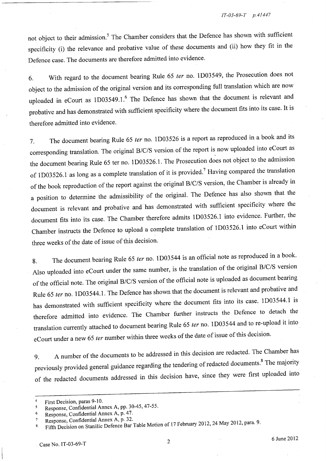not object to their admission.<sup>5</sup> The Chamber considers that the Defence has shown with sufficient specificity (i) the relevance and probative value of these documents and (ii) how they fit in the Defence case. The documents are therefore admitted into evidence.

6. With regard to the document bearing Rule <sup>65</sup>*ter* no. lD03549, the Prosecution does not object to the admission of the original version and its corresponding full translation which are now uploaded in eCourt as  $1D03549.1$ .<sup>6</sup> The Defence has shown that the document is relevant and probative and has demonstrated with sufficient specificity where the document fits into its case. It is therefore admitted into evidence.

7. The document bearing Rule 65 *ter* no. lD03526 is a report as reproduced in a book and its corresponding translation. The original B/C/S version of the report is now uploaded into eCourt as the document bearing Rule 65 ter no. 1D03526.1. The Prosecution does not object to the admission of 1D03526.1 as long as a complete translation of it is provided.<sup>7</sup> Having compared the translation of the book reproduction of the report against the original B/C/S version, the Chamber is already in a position to determine the admissibility of the original. The Defence has also shown that the document is relevant and probative and has demonstrated with sufficient specificity where the document fits into its case. The Chamber therefore admits lD03526.1 into evidence. Further, the Chamber instructs the Defence to upload a complete translation of 1D03526.1 into eCourt within three weeks of the date of issue of this decision.

8. The document bearing Rule 65 *ter* no. 1D03544 is an official note as reproduced in a book. Also uploaded into eCourt under the same number, is the translation of the original B/C/S version of the official note. The original B/C/S version of the official note is uploaded as document bearing Rule 65 *ter* no. lD03544.1. The Defence has shown that the document is relevant and probative and has demonstrated with sufficient specificity where the document fits into its case. lD03544.l is therefore admitted into evidence. The Chamber further instructs the Defence to detach the translation currently attached to document bearing Rule <sup>65</sup>*ter* no. lD03544 and to re-upload it into eCourt under a new 65 *ter* number within three weeks of the date of issue of this decision.

9. A number of the documents to be addressed in this decision are redacted. The Chamber has previously provided general guidance regarding the tendering of redacted documents.<sup>8</sup> The majority of the redacted documents addressed in this decision have, since they were first uploaded into

<sup>4</sup>  First Decision, paras 9-10.

Response, Confidential Annex A, pp. 30-45,47-55.  $\overline{\mathbf{5}}$ 

<sup>6</sup>  Response, Confidential Annex A, p. 47.

<sup>7</sup>  Response, Confidential Annex A, p. 32.

<sup>8.</sup> Fifth Decision on Stanišic Defence Bar Table Motion of <sup>17</sup>February 2012, 24 May 2012, para. 9.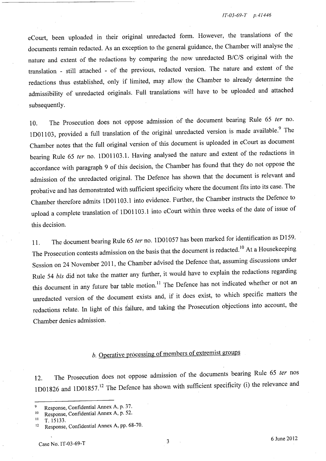eCourt, been uploaded in their original unredacted fonn. However, the translations of the documents remain redacted. As an exception to the general guidance, the Chamber will analyse the nature and extent of the redactions by comparing the now unredacted B/C/S original with the translation - still attached - of the previous, redacted version. The nature and extent of the redactions thus established, only if limited, may allow the Chamber to already detennine the admissibility of unredacted originals. Full translations will have to be uploaded and attached subsequently.

10. The Prosecution does not oppose admission of the document bearing Rule 65 *ter* no. 1D01103, provided a full translation of the original unredacted version is made available.<sup>9</sup> The Chamber notes that the full original version of this document is uploaded in eCourt as document bearing Rule 65 *ter* no. 1D01103.1. Having analysed the nature and extent of the redactions in accordance with paragraph 9 of this decision, the Chamber has found that they do not oppose the admission of the unredacted original. The Defence has shown that the document is relevant and probative and has demonstrated with sufficient specificity where the document fits into its case. The Chamber therefore admits 1D01l03.1 into evidence. Further, the Chamber instructs the Defence to upload a complete translation of 1D01103.1 into eCourt within three weeks of the date of issue of this decision.

ll. The document bearing Rule 65 *ter* no. 1D01057 has been marked for identification as D159. The Prosecution contests admission on the basis that the document is redacted.<sup>10</sup> At a Housekeeping Session on 24 November 2011, the Chamber advised the Defence that, assuming discussions under Rule 54 *bis* did not take the matter any further, it would have to explain the redactions regarding this document in any future bar table motion.<sup>11</sup> The Defence has not indicated whether or not an unredacted version of the document exists and, if it does exist, to which specific matters the redactions relate. In light of this failure, and taking the Prosecution objections into account, the Chamber denies admission.

# b. Operative processing of members of extremist groups

12. The Prosecution does not oppose admission of the documents bearing Rule 65 *ter* nos 1D01826 and 1D01857.<sup>12</sup> The Defence has shown with sufficient specificity (i) the relevance and

<sup>9</sup> Response, Confidential Annex A, p. 37.

 $^{10}$  Response, Confidential Annex A, p. 52.

T. 15133.

<sup>&</sup>lt;sup>12</sup> Response, Confidential Annex A, pp. 68-70.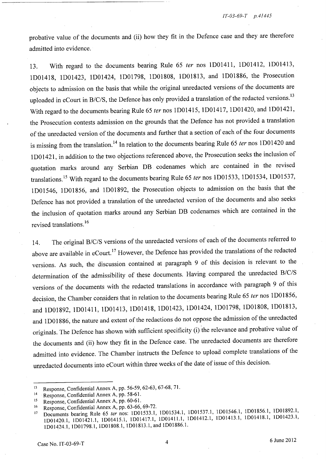probative value of the documents and (ii) how they fit in the Defence case and they are therefore admitted into evidence.

13. With regard to the documents bearing Rule 65 *ter* nos lDOI411, lD01412, lDOI413, lD01418, lD01423, lD01424, lD01798, lD01808, lDOI813, and lD01886, the Prosecution objects to admission on the basis that while the original unredacted versions of the documents are uploaded in eCourt in B/C/S, the Defence has only provided a translation of the redacted versions.<sup>13</sup> With regard to the documents bearing Rule 65 *ter* nos lD01415, lD01417, lD01420, and lD01421, the Prosecution contests admission on the grounds that the Defence has not provided a translation of the unredacted version of the documents and further that a section of each of the four documents is missing from the translation. 14 In relation to the documents bearing Rule 65 *ter* nos lD01420 and l DO 1421, in addition to the two objections referenced above, the Prosecution seeks the inclusion of quotation marks around any Serbian DB codenames which are contained in the revised translations. 15 With regard to the documents bearing Rule 65 *ter* nos lD01533, lD01534, lD01537, l DO 1546, l DO 1856, and l DO 1892, the Prosecution objects to admission on the basis that the Defence has not provided a translation of the unredacted version of the documents and also seeks the inclusion of quotation marks around any Serbian DB codenames which are contained in the revised translations.<sup>16</sup>

14. The original B/C/S versions of the unredacted versions of each of the documents referred to above are available in eCourt.<sup>17</sup> However, the Defence has provided the translations of the redacted versions. As such, the discussion contained at paragraph 9 of this decision is relevant to the determination of the admissibility of these documents. Having compared the unredacted B/C/S versions of the documents with the redacted translations in accordance with paragraph 9 of this decision, the Chamber considers that in relation to the documents bearing Rule 65 *ter* nos lD01856, and lD01892, lD0141l, lDOI413, lD01418, lD01423, lD01424, lD01798, lD01808, lDOI813, and 1D01886, the nature and extent of the redactions do not oppose the admission of the unredacted originals. The Defence has shown with sufficient specificity (i) the relevance and probative value of the documents and (ii) how they fit in the Defence case. The unredacted documents are therefore admitted into evidence. The Chamber instructs the Defence to upload complete translations of the unredacted documents into eCourt within three weeks of the date of issue of this decision.

<sup>13</sup> Response, Confidential Annex A, pp. 56-59, 62-63, 67-68, 71.

<sup>14</sup> Response, Confidential Annex A, pp. 58-61.

<sup>15</sup> Response, Confidential Annex A, pp. 60-61.

<sup>16</sup> Response, Confidential Annex A, pp. 63-66, 69-72.

<sup>17</sup> Documents bearing Rule 65 *ter* nos: 1D01533.1, 1D01534.1, 1D01537.1, 1D01546.1, 1D01856.1, 1D01892.1, 1D01420.1, 1D01421.1, 1D01415.1, 1D01417.1, 1D01411.1, 1D01412.1, 1D01413.1, 1D01418.1, 1D01423.1, 1DOI424.1, 1D01798.1, 1D01808.1, 1D01813.1, and 1D01886.1.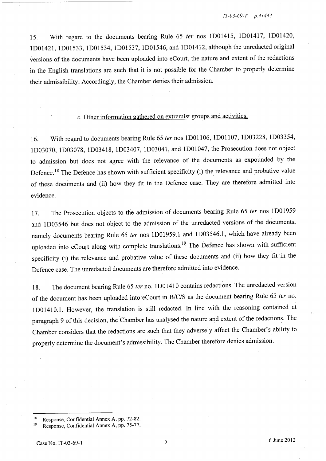15. With regard to the documents bearing Rule 65 *ter* nos lD014l5, lD014l7, lD01420, lD0142l, lD01533, lD01534, lD01537, lD01546, and lD014l2, although the unredacted original versions of the documents have been uploaded into eCourt, the nature and extent of the redactions in the English translations are such that it is not possible for the Chamber to properly determine their admissibility. Accordingly, the Chamber denies their admission.

#### c. Other information gathered on extremist groups and activities.

16. With regard to documents bearing Rule 65 *ter* nos lDOll06, lDOll07, lD03228, lD03354, lD03070, lD03078, lD034l8, lD03407, lD0304l, and lDOl047, the Prosecution does not object to admission but does not agree with the relevance of the documents as expounded by the Defence.<sup>18</sup> The Defence has shown with sufficient specificity (i) the relevance and probative value of these documents and (ii) how they fit in the Defence case. They are therefore admitted into evidence.

17. The Prosecution objects to the admission of documents bearing Rule 65 *ter* nos lD01959 and lD03546 but does not object to the admission of the unredacted versions of the documents, namely documents bearing Rule 65 *ter* nos lD01959.l and lD03546.l, which have already been uploaded into eCourt along with complete translations.<sup>19</sup> The Defence has shown with sufficient specificity (i) the relevance and probative value of these documents and (ii) how they fit 'in the Defence case. The unredacted documents are therefore admitted into evidence.

18. The document bearing Rule 65 *ter* no. lD014l0 contains redactions. The unredacted version of the document has been uploaded into eCourt in B/C/S as the document bearing Rule 65 ter no. 1 DO 141 0.1. However, the translation is still redacted. In line with the reasoning contained at paragraph 9 of this decision, the Chamber has analysed the nature and extent of the redactions. The Chamber considers that the redactions are such that they adversely affect the Chamber's ability to properly determine the document's admissibility. The Chamber therefore denies admission.

Response, Confidential Annex A, pp. 72-82.

<sup>19</sup> Response, Confidential Annex A, pp. 75-77.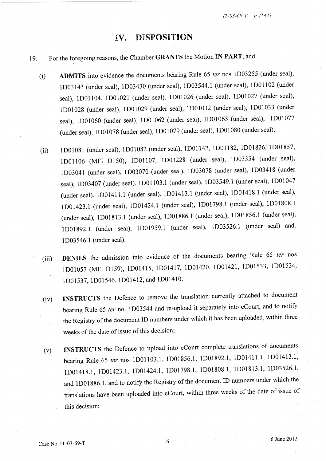#### **IV.** DISPOSITION

#### 19. For the foregoing reasons, the Chamber GRANTS the Motion IN PART, and

- (i) ADMITS into evidence the documents bearing Rule <sup>65</sup>*ter* nos lD03255 (under seal), lD03l43 (under seal), lD03430 (under seal), lD03544.l (under seal), IDOlI <sup>02</sup>(under seal), lDOll04, lDOl02l (under seal), lDOl026 (under seal), lDOl027 (under seal), lDOl028 (under seal), lDOl029 (under seal), lDOl032 (under seal), lDOl033 (under seal), 1D01060 (under seal), 1D01062 (under seal), 1D01065 (under seal), 1D01077 (under seal), lDOl078 (under seal), lDOl079 (under seal), lDOl080 (under seal),
- (ii) lDOl08l (under seal), lDOl082 (under seal), lDOl142, lDOl182, lD01826, lD01857, lDOll06 (MFI D150), lDOll07, lD03228 (under seal), lD03354 (under seal), lD0304l (under seal), lD03070 (under seal), lD03078 (under seal), lD034l8 (under seal), 1D03407 (under seal), 1D01103.1 (under seal), 1D03549.1 (under seal), 1D01047 (under seal), lD01411.1 (under seal), lD01413.1 (under seal), lD01418.1 (under seal), lD01423.l (under seal), lD01424.l (under seal), lD01798.1 (under seal), lD01808.l (under seal), lD01813.1 (under seal), lD01886.1 (under seal), lD01856.l (under seal), lD01892.1 (under seal), lD01959.l (under seal), lD03526.l (under seal) and, lD03546.1 (under seal).
- (iii) DENlES the admission into evidence of the documents bearing Rule 65 *ter* nos lDOl057 (MFI D159), lD01415, lD01417, lD01420, lD01421, lD01533, lD01534, lD01537, lD01546, lD01412, and lD01410.
- (iv) INSTRUCTS the Defence to remove the translation currently attached to document bearing Rule 65 *ter* no. lD03544 and re-upload it separately into eCourt, and to notify the Registry of the document ID numbers under which it has been uploaded, within three weeks of the date of issue of this decision;
- (v) INSTRUCTS the Defence to upload into eCourt complete translations of documents bearing Rule 65 *ter* nos lDOll03.1, lD01856.1, lD01892.1, lD01411.1, lD01413.l, lD01418.l, lD01423.1, lD01424.l, lD01798.l, lD01808.l, lD01813.l, lD03526.1, and lD01886.1, and to notify the Registry of the document ID numbers under which the translations have been uploaded into eCourt, within three weeks of the date of issue of this decision;